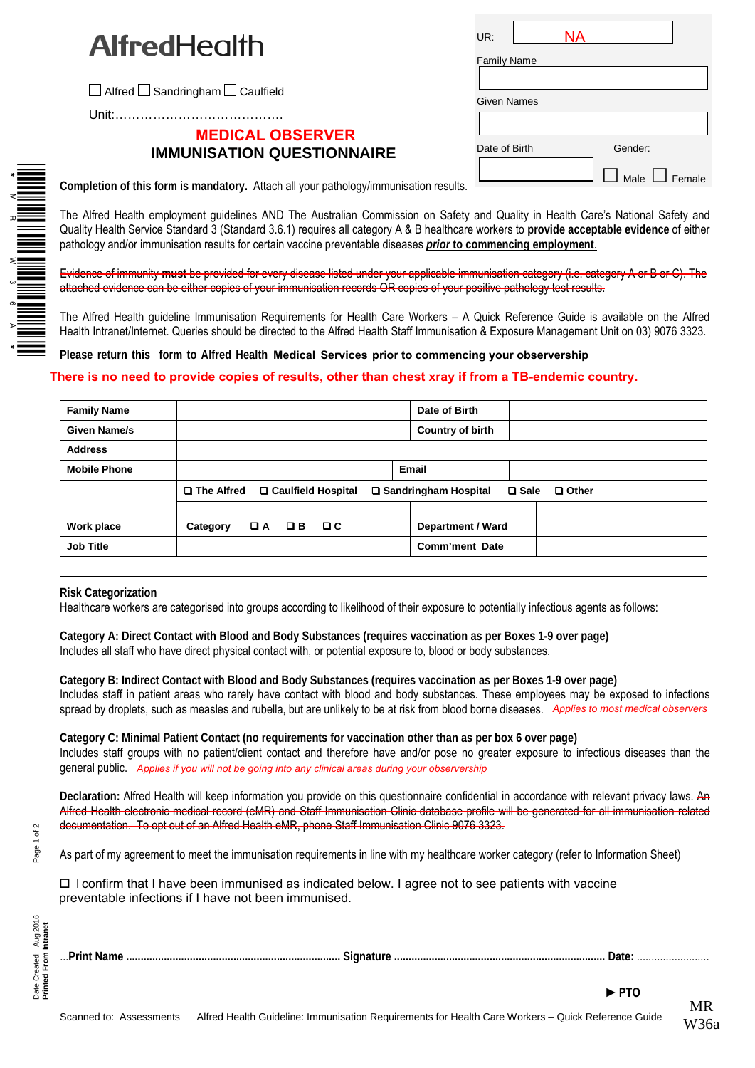$\Box$  Alfred  $\Box$  Sandringham  $\Box$  Caulfield

Unit:………………………………….

## **MEDICAL OBSERVER IMMUNISATION QUESTIONNAIRE**

| UR:                |  | NΑ |                           |  |  |
|--------------------|--|----|---------------------------|--|--|
| <b>Family Name</b> |  |    |                           |  |  |
|                    |  |    |                           |  |  |
| <b>Given Names</b> |  |    |                           |  |  |
|                    |  |    |                           |  |  |
| Date of Birth      |  |    | Gender:                   |  |  |
|                    |  |    | $\Box$ Male $\Box$ Female |  |  |

**Completion of this form is mandatory.** Attach all your pathology/immunisation results.

The Alfred Health employment guidelines AND The Australian Commission on Safety and Quality in Health Care's National Safety and Quality Health Service Standard 3 (Standard 3.6.1) requires all category A & B healthcare workers to **provide acceptable evidence** of either pathology and/or immunisation results for certain vaccine preventable diseases *prior* **to commencing employment**.

Evidence of immunity **must** be provided for every disease listed under your applicable immunisation category (i.e. category A or B or C). The attached evidence can be either copies of your immunisation records OR copies of your positive pathology test results.

The Alfred Health guideline Immunisation Requirements for Health Care Workers – A Quick Reference Guide is available on the Alfred Health Intranet/Internet. Queries should be directed to the Alfred Health Staff Immunisation & Exposure Management Unit on 03) 9076 3323.

**Please return this form to Alfred Health Medical Services prior to commencing your observership**

## **There is no need to provide copies of results, other than chest xray if from a TB-endemic country.**

| <b>Family Name</b>  | Date of Birth                                                                                           |  |
|---------------------|---------------------------------------------------------------------------------------------------------|--|
| Given Name/s        | Country of birth                                                                                        |  |
| <b>Address</b>      |                                                                                                         |  |
| <b>Mobile Phone</b> | <b>Email</b>                                                                                            |  |
|                     | <b>□ The Alfred</b><br>□ Caulfield Hospital<br>□ Sandringham Hospital<br>$\square$ Sale<br>$\Box$ Other |  |
|                     |                                                                                                         |  |
| Work place          | QA QB<br>$\Box$ $\Box$<br><b>Department / Ward</b><br>Category                                          |  |
| <b>Job Title</b>    | Comm'ment Date                                                                                          |  |
|                     |                                                                                                         |  |

**Risk Categorization**

\*MR W36A\*

Healthcare workers are categorised into groups according to likelihood of their exposure to potentially infectious agents as follows:

**Category A: Direct Contact with Blood and Body Substances (requires vaccination as per Boxes 1-9 over page)** Includes all staff who have direct physical contact with, or potential exposure to, blood or body substances.

**Category B: Indirect Contact with Blood and Body Substances (requires vaccination as per Boxes 1-9 over page)** Includes staff in patient areas who rarely have contact with blood and body substances. These employees may be exposed to infections spread by droplets, such as measles and rubella, but are unlikely to be at risk from blood borne diseases. *Applies to most medical observers*

**Category C: Minimal Patient Contact (no requirements for vaccination other than as per box 6 over page)** Includes staff groups with no patient/client contact and therefore have and/or pose no greater exposure to infectious diseases than the general public. *Applies if you will not be going into any clinical areas during your observership*

**Declaration:** Alfred Health will keep information you provide on this questionnaire confidential in accordance with relevant privacy laws. An Alfred Health electronic medical record (eMR) and Staff Immunisation Clinic database profile will be generated for all immunisation related documentation. To opt out of an Alfred Health eMR, phone Staff Immunisation Clinic 9076 3323.

As part of my agreement to meet the immunisation requirements in line with my healthcare worker category (refer to Information Sheet)

 $\Box$  I confirm that I have been immunised as indicated below. I agree not to see patients with vaccine preventable infections if I have not been immunised.

| int Name |  |  |
|----------|--|--|
|          |  |  |

...**Print Name .......................................................................... Signature ......................................................................... Date:** .........................

Page 1 of 2